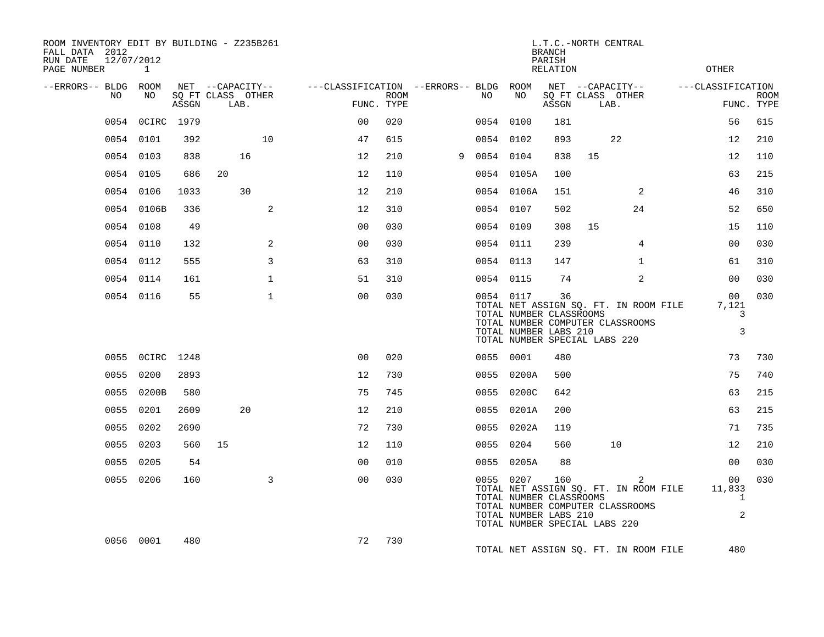| ROOM INVENTORY EDIT BY BUILDING - Z235B261<br>FALL DATA 2012<br>12/07/2012<br>RUN DATE |                 |       |                                       |              |                                        |             |   |           |                                                                                                | <b>BRANCH</b><br>PARISH |    | L.T.C.-NORTH CENTRAL                                                                        |                                                |             |
|----------------------------------------------------------------------------------------|-----------------|-------|---------------------------------------|--------------|----------------------------------------|-------------|---|-----------|------------------------------------------------------------------------------------------------|-------------------------|----|---------------------------------------------------------------------------------------------|------------------------------------------------|-------------|
| PAGE NUMBER                                                                            | 1               |       |                                       |              |                                        |             |   |           |                                                                                                | RELATION                |    |                                                                                             | OTHER                                          |             |
| --ERRORS-- BLDG ROOM<br>NO                                                             | NO.             |       | NET --CAPACITY--<br>SQ FT CLASS OTHER |              | ---CLASSIFICATION --ERRORS-- BLDG ROOM | <b>ROOM</b> |   | NO.       | NO                                                                                             |                         |    | NET --CAPACITY--<br>SQ FT CLASS OTHER                                                       | ---CLASSIFICATION                              | <b>ROOM</b> |
|                                                                                        |                 | ASSGN | LAB.                                  |              | FUNC. TYPE                             |             |   |           |                                                                                                | ASSGN                   |    | LAB.                                                                                        |                                                | FUNC. TYPE  |
| 0054                                                                                   | OCIRC 1979      |       |                                       |              | 0 <sub>0</sub>                         | 020         |   | 0054 0100 |                                                                                                | 181                     |    |                                                                                             | 56                                             | 615         |
|                                                                                        | 0054 0101       | 392   |                                       | 10           | 47                                     | 615         |   | 0054 0102 |                                                                                                | 893                     |    | 22                                                                                          | 12                                             | 210         |
|                                                                                        | 0054 0103       | 838   | 16                                    |              | 12                                     | 210         | 9 | 0054 0104 |                                                                                                | 838                     | 15 |                                                                                             | 12                                             | 110         |
|                                                                                        | 0054 0105       | 686   | 20                                    |              | 12                                     | 110         |   |           | 0054 0105A                                                                                     | 100                     |    |                                                                                             | 63                                             | 215         |
|                                                                                        | 0054 0106       | 1033  | 30                                    |              | 12                                     | 210         |   |           | 0054 0106A                                                                                     | 151                     |    | 2                                                                                           | 46                                             | 310         |
|                                                                                        | 0054 0106B      | 336   |                                       | 2            | 12                                     | 310         |   | 0054 0107 |                                                                                                | 502                     |    | 24                                                                                          | 52                                             | 650         |
|                                                                                        | 0054 0108       | 49    |                                       |              | 0 <sub>0</sub>                         | 030         |   | 0054 0109 |                                                                                                | 308                     | 15 |                                                                                             | 15                                             | 110         |
|                                                                                        | 0054 0110       | 132   |                                       | 2            | 0 <sub>0</sub>                         | 030         |   | 0054 0111 |                                                                                                | 239                     |    | 4                                                                                           | 0 <sub>0</sub>                                 | 030         |
|                                                                                        | 0054 0112       | 555   |                                       | 3            | 63                                     | 310         |   | 0054 0113 |                                                                                                | 147                     |    | $\mathbf{1}$                                                                                | 61                                             | 310         |
|                                                                                        | 0054 0114       | 161   |                                       | $\mathbf{1}$ | 51                                     | 310         |   | 0054 0115 |                                                                                                | 74                      |    | 2                                                                                           | 0 <sub>0</sub>                                 | 030         |
|                                                                                        | 0054 0116       | 55    |                                       | $\mathbf{1}$ | 0 <sub>0</sub>                         | 030         |   |           | 0054 0117<br>TOTAL NUMBER CLASSROOMS<br>TOTAL NUMBER LABS 210<br>TOTAL NUMBER SPECIAL LABS 220 | 36                      |    | TOTAL NET ASSIGN SQ. FT. IN ROOM FILE<br>TOTAL NUMBER COMPUTER CLASSROOMS                   | 00 <sup>o</sup><br>7,121<br>3<br>3             | 030         |
|                                                                                        | 0055 OCIRC 1248 |       |                                       |              | 0 <sub>0</sub>                         | 020         |   | 0055 0001 |                                                                                                | 480                     |    |                                                                                             | 73                                             | 730         |
| 0055                                                                                   | 0200            | 2893  |                                       |              | 12                                     | 730         |   |           | 0055 0200A                                                                                     | 500                     |    |                                                                                             | 75                                             | 740         |
|                                                                                        | 0055 0200B      | 580   |                                       |              | 75                                     | 745         |   |           | 0055 0200C                                                                                     | 642                     |    |                                                                                             | 63                                             | 215         |
|                                                                                        | 0055 0201       | 2609  | 20                                    |              | 12                                     | 210         |   |           | 0055 0201A                                                                                     | 200                     |    |                                                                                             | 63                                             | 215         |
|                                                                                        | 0055 0202       | 2690  |                                       |              | 72                                     | 730         |   |           | 0055 0202A                                                                                     | 119                     |    |                                                                                             | 71                                             | 735         |
| 0055                                                                                   | 0203            | 560   | 15                                    |              | 12                                     | 110         |   | 0055 0204 |                                                                                                | 560                     |    | 10                                                                                          | 12                                             | 210         |
|                                                                                        | 0055 0205       | 54    |                                       |              | 0 <sub>0</sub>                         | 010         |   |           | 0055 0205A                                                                                     | 88                      |    |                                                                                             | 0 <sub>0</sub>                                 | 030         |
|                                                                                        | 0055 0206       | 160   |                                       | 3            | 0 <sub>0</sub>                         | 030         |   |           | 0055 0207<br>TOTAL NUMBER CLASSROOMS<br>TOTAL NUMBER LABS 210<br>TOTAL NUMBER SPECIAL LABS 220 | 160                     |    | $\overline{2}$<br>TOTAL NET ASSIGN SQ. FT. IN ROOM FILE<br>TOTAL NUMBER COMPUTER CLASSROOMS | 00<br>11,833<br>$\mathbf{1}$<br>$\overline{a}$ | 030         |
|                                                                                        | 0056 0001       | 480   |                                       |              | 72                                     | 730         |   |           |                                                                                                |                         |    | TOTAL NET ASSIGN SQ. FT. IN ROOM FILE                                                       | 480                                            |             |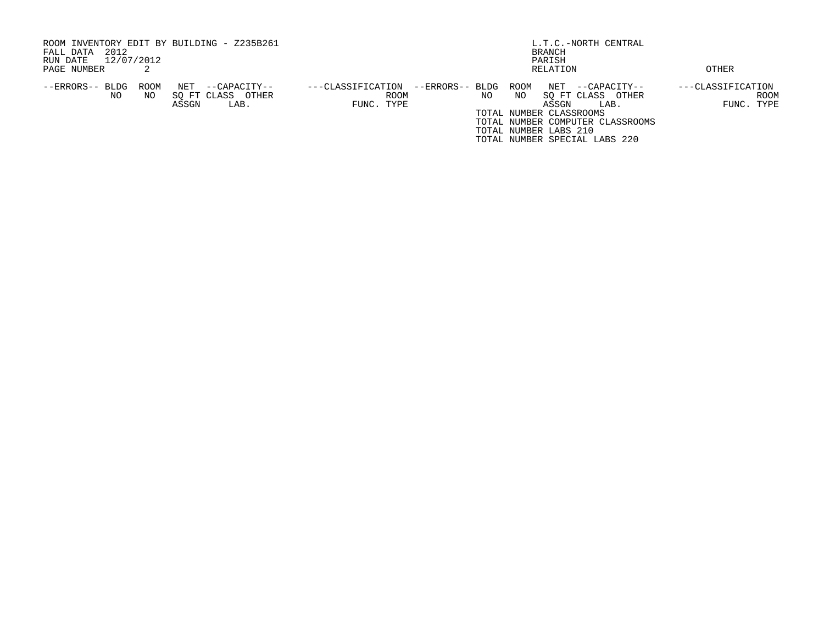| ROOM INVENTORY EDIT BY BUILDING - Z235B261 |                      |                   |                 |                               | L.T.C.-NORTH CENTRAL             |                   |
|--------------------------------------------|----------------------|-------------------|-----------------|-------------------------------|----------------------------------|-------------------|
| 2012<br>FALL DATA                          |                      |                   |                 | BRANCH                        |                                  |                   |
| 12/07/2012<br>RUN DATE                     |                      |                   |                 |                               |                                  |                   |
| PAGE NUMBER                                |                      |                   |                 | RELATION                      |                                  | OTHER             |
| --ERRORS-- BLDG<br>ROOM                    | NET<br>--CAPACITY--  | ---CLASSIFICATION | --ERRORS-- BLDG | ROOM                          | NET --CAPACITY--                 | ---CLASSIFICATION |
| NO<br>NO.                                  | SO FT CLASS<br>OTHER | ROOM              | NO.             | NO                            | SO FT CLASS OTHER                | <b>ROOM</b>       |
|                                            | ASSGN<br>LAB.        | FUNC. TYPE        |                 | ASSGN                         | LAB.                             | FUNC. TYPE        |
|                                            |                      |                   |                 | TOTAL NUMBER CLASSROOMS       |                                  |                   |
|                                            |                      |                   |                 |                               | TOTAL NUMBER COMPUTER CLASSROOMS |                   |
|                                            |                      |                   |                 | TOTAL NUMBER LABS 210         |                                  |                   |
|                                            |                      |                   |                 | TOTAL NUMBER SPECIAL LABS 220 |                                  |                   |